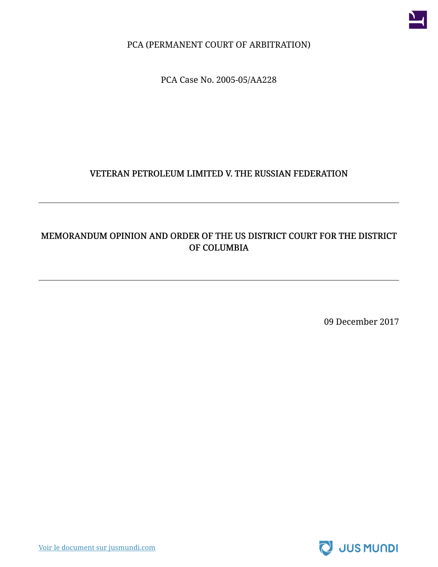

PCA (PERMANENT COURT OF ARBITRATION)

PCA Case No. 2005-05/AA228

#### VETERAN PETROLEUM LIMITED V. THE RUSSIAN FEDERATION

## MEMORANDUM OPINION AND ORDER OF THE US DISTRICT COURT FOR THE DISTRICT OF COLUMBIA

09 December 2017

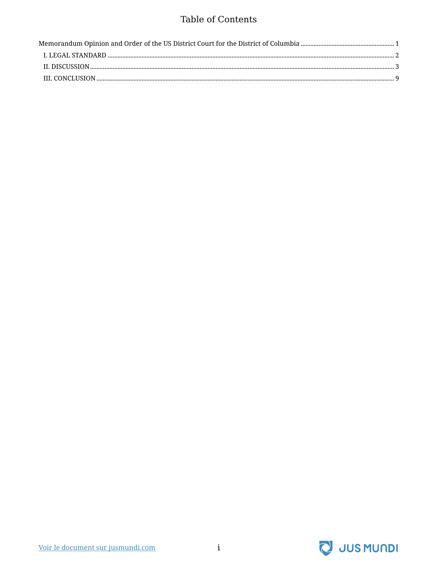## Table of Contents

| Memorandum Opinion and Order of the US District Court for the District of Columbia ……………………………………………………………………1 |  |
|----------------------------------------------------------------------------------------------------------------|--|
|                                                                                                                |  |
|                                                                                                                |  |
|                                                                                                                |  |

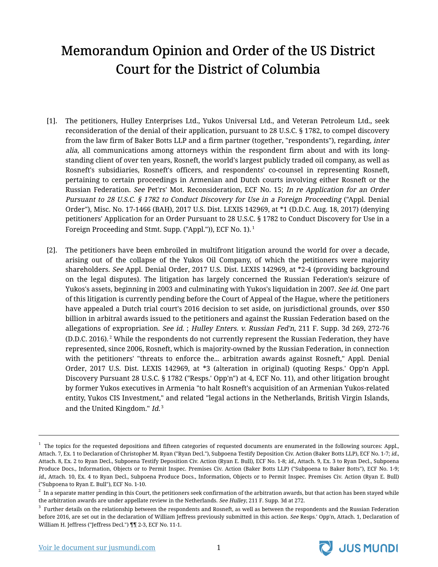# <span id="page-2-0"></span>Memorandum Opinion and Order of the US District Court for the District of Columbia

- [1]. The petitioners, Hulley Enterprises Ltd., Yukos Universal Ltd., and Veteran Petroleum Ltd., seek reconsideration of the denial of their application, pursuant to 28 U.S.C. § 1782, to compel discovery from the law firm of Baker Botts LLP and a firm partner (together, "respondents"), regarding, inter alia, all communications among attorneys within the respondent firm about and with its longstanding client of over ten years, Rosneft, the world's largest publicly traded oil company, as well as Rosneft's subsidiaries, Rosneft's officers, and respondents' co-counsel in representing Rosneft, pertaining to certain proceedings in Armenian and Dutch courts involving either Rosneft or the Russian Federation. See Pet'rs' Mot. Reconsideration, ECF No. 15; In re Application for an Order Pursuant to 28 U.S.C. § 1782 to Conduct Discovery for Use in <sup>a</sup> Foreign Proceeding ("Appl. Denial Order"), Misc. No. 17-1466 (BAH), 2017 U.S. Dist. LEXIS 142969, at \*1 (D.D.C. Aug. 18, 2017) (denying petitioners' Application for an Order Pursuant to 28 U.S.C. § 1782 to Conduct Discovery for Use in a Foreign Proceeding and Stmt. Supp. ("Appl.")), ECF No. 1). <sup>1</sup>
- [2]. The petitioners have been embroiled in multifront litigation around the world for over a decade, arising out of the collapse of the Yukos Oil Company, of which the petitioners were majority shareholders. See Appl. Denial Order, 2017 U.S. Dist. LEXIS 142969, at \*2-4 (providing background on the legal disputes). The litigation has largely concerned the Russian Federation's seizure of Yukos's assets, beginning in 2003 and culminating with Yukos's liquidation in 2007. See id. One part of this litigation is currently pending before the Court of Appeal of the Hague, where the petitioners have appealed a Dutch trial court's 2016 decision to set aside, on jurisdictional grounds, over \$50 billion in arbitral awards issued to the petitioners and against the Russian Federation based on the allegations of expropriation. See id.; Hulley Enters. v. Russian Fed'n, 211 F. Supp. 3d 269, 272-76 (D.D.C. 2016).<sup>2</sup> While the respondents do not currently represent the Russian Federation, they have represented, since 2006, Rosneft, which is majority-owned by the Russian Federation, in connection with the petitioners' "threats to enforce the... arbitration awards against Rosneft," Appl. Denial Order, 2017 U.S. Dist. LEXIS 142969, at \*3 (alteration in original) (quoting Resps.' Opp'n Appl. Discovery Pursuant 28 U.S.C. § 1782 ("Resps.' Opp'n") at 4, ECF No. 11), and other litigation brought by former Yukos executives in Armenia "to halt Rosneft's acquisition of an Armenian Yukos-related entity, Yukos CIS Investment," and related "legal actions in the Netherlands, British Virgin Islands, and the United Kingdom." *Id.* 3



 $^1$  The topics for the requested depositions and fifteen categories of requested documents are enumerated in the following sources: Appl., Attach. 7, Ex. 1 to Declaration of Christopher M. Ryan ("Ryan Decl."), Subpoena Testify Deposition Civ. Action (Baker Botts LLP), ECF No. 1-7; id., Attach. 8, Ex. 2 to Ryan Decl., Subpoena Testify Deposition Civ. Action (Ryan E. Bull), ECF No. 1-8; id., Attach. 9, Ex. 3 to Ryan Decl., Subpoena Produce Docs., Information, Objects or to Permit Inspec. Premises Civ. Action (Baker Botts LLP) ("Subpoena to Baker Botts"), ECF No. 1-9; id., Attach. 10, Ex. 4 to Ryan Decl., Subpoena Produce Docs., Information, Objects or to Permit Inspec. Premises Civ. Action (Ryan E. Bull) ("Subpoena to Ryan E. Bull"), ECF No. 1-10.

 $^{\rm 2}$  In a separate matter pending in this Court, the petitioners seek confirmation of the arbitration awards, but that action has been stayed while the arbitration awards are under appellate review in the Netherlands. See Hulley, 211 F. Supp. 3d at 272.

 $^3$  Further details on the relationship between the respondents and Rosneft, as well as between the respondents and the Russian Federation before 2016, are set out in the declaration of William Jeffress previously submitted in this action. See Resps.' Opp'n, Attach. 1, Declaration of William H. Jeffress ("Jeffress Decl.") ¶¶ 2-3, ECF No. 11-1.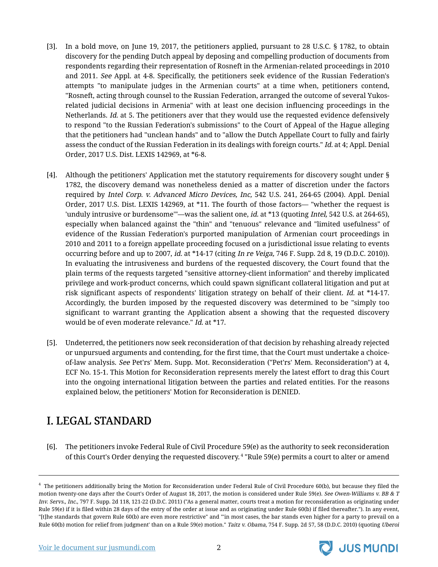- [3]. In a bold move, on June 19, 2017, the petitioners applied, pursuant to 28 U.S.C. § 1782, to obtain discovery for the pending Dutch appeal by deposing and compelling production of documents from respondents regarding their representation of Rosneft in the Armenian-related proceedings in 2010 and 2011. See Appl. at 4-8. Specifically, the petitioners seek evidence of the Russian Federation's attempts "to manipulate judges in the Armenian courts" at a time when, petitioners contend, "Rosneft, acting through counsel to the Russian Federation, arranged the outcome of several Yukosrelated judicial decisions in Armenia" with at least one decision influencing proceedings in the Netherlands. Id. at 5. The petitioners aver that they would use the requested evidence defensively to respond "to the Russian Federation's submissions" to the Court of Appeal of the Hague alleging that the petitioners had "unclean hands" and to "allow the Dutch Appellate Court to fully and fairly assess the conduct of the Russian Federation in its dealings with foreign courts." Id. at 4; Appl. Denial Order, 2017 U.S. Dist. LEXIS 142969, at \*6-8.
- [4]. Although the petitioners' Application met the statutory requirements for discovery sought under § 1782, the discovery demand was nonetheless denied as a matter of discretion under the factors required by Intel Corp. v. Advanced Micro Devices, Inc, 542 U.S. 241, 264-65 (2004). Appl. Denial Order, 2017 U.S. Dist. LEXIS 142969, at \*11. The fourth of those factors— "whether the request is 'unduly intrusive or burdensome'"—was the salient one, *id.* at \*13 (quoting *Intel*, 542 U.S. at 264-65), especially when balanced against the "thin" and "tenuous" relevance and "limited usefulness" of evidence of the Russian Federation's purported manipulation of Armenian court proceedings in 2010 and 2011 to a foreign appellate proceeding focused on a jurisdictional issue relating to events occurring before and up to 2007, id. at \*14-17 (citing In re Veiga, 746 F. Supp. 2d 8, 19 (D.D.C. 2010)). In evaluating the intrusiveness and burdens of the requested discovery, the Court found that the plain terms of the requests targeted "sensitive attorney-client information" and thereby implicated privilege and work-product concerns, which could spawn significant collateral litigation and put at risk significant aspects of respondents' litigation strategy on behalf of their client. Id. at \*14-17. Accordingly, the burden imposed by the requested discovery was determined to be "simply too significant to warrant granting the Application absent a showing that the requested discovery would be of even moderate relevance." Id. at \*17.
- [5]. Undeterred, the petitioners now seek reconsideration of that decision by rehashing already rejected or unpursued arguments and contending, for the first time, that the Court must undertake a choiceof-law analysis. See Pet'rs' Mem. Supp. Mot. Reconsideration ("Pet'rs' Mem. Reconsideration") at 4, ECF No. 15-1. This Motion for Reconsideration represents merely the latest effort to drag this Court into the ongoing international litigation between the parties and related entities. For the reasons explained below, the petitioners' Motion for Reconsideration is DENIED.

## <span id="page-3-0"></span>I. LEGAL STANDARD

[6]. The petitioners invoke Federal Rule of Civil Procedure 59(e) as the authority to seek reconsideration of this Court's Order denying the requested discovery. 4 "Rule 59(e) permits a court to alter or amend



 $^4\,$  The petitioners additionally bring the Motion for Reconsideration under Federal Rule of Civil Procedure 60(b), but because they filed the motion twenty-one days after the Court's Order of August 18, 2017, the motion is considered under Rule 59(e). See Owen-Williams v. BB & T Inv. Servs., Inc., 797 F. Supp. 2d 118, 121-22 (D.D.C. 2011) ("As a general matter, courts treat a motion for reconsideration as originating under Rule 59(e) if it is filed within 28 days of the entry of the order at issue and as originating under Rule 60(b) if filed thereafter."). In any event, "[t]he standards that govern Rule 60(b) are even more restrictive" and "'in most cases, the bar stands even higher for a party to prevail on a Rule 60(b) motion for relief from judgment' than on a Rule 59(e) motion." Taitz v. Obama, 754 F. Supp. 2d 57, 58 (D.D.C. 2010) (quoting Uberoi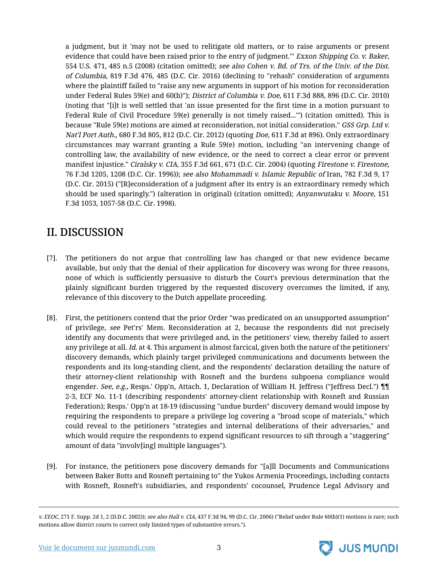a judgment, but it 'may not be used to relitigate old matters, or to raise arguments or present evidence that could have been raised prior to the entry of judgment." Exxon Shipping Co. v. Baker, 554 U.S. 471, 485 n.5 (2008) (citation omitted); see also Cohen v. Bd. of Trs. of the Univ. of the Dist. of Columbia, 819 F.3d 476, 485 (D.C. Cir. 2016) (declining to "rehash" consideration of arguments where the plaintiff failed to "raise any new arguments in support of his motion for reconsideration under Federal Rules 59(e) and 60(b)"); District of Columbia v. Doe, 611 F.3d 888, 896 (D.C. Cir. 2010) (noting that "[i]t is well settled that 'an issue presented for the first time in a motion pursuant to Federal Rule of Civil Procedure 59(e) generally is not timely raised...'") (citation omitted). This is because "Rule 59(e) motions are aimed at reconsideration, not initial consideration." GSS Grp. Ltd v. Nat'l Port Auth., 680 F.3d 805, 812 (D.C. Cir. 2012) (quoting Doe, 611 F.3d at 896). Only extraordinary circumstances may warrant granting a Rule 59(e) motion, including "an intervening change of controlling law, the availability of new evidence, or the need to correct a clear error or prevent manifest injustice." Ciralsky v. CIA, 355 F.3d 661, 671 (D.C. Cir. 2004) (quoting Firestone v. Firestone, 76 F.3d 1205, 1208 (D.C. Cir. 1996)); see also Mohammadi v. Islamic Republic of Iran, 782 F.3d 9, 17 (D.C. Cir. 2015) ("[R]econsideration of a judgment after its entry is an extraordinary remedy which should be used sparingly.") (alteration in original) (citation omitted); Anyanwutaku v. Moore, 151 F.3d 1053, 1057-58 (D.C. Cir. 1998).

## <span id="page-4-0"></span>II. DISCUSSION

- [7]. The petitioners do not argue that controlling law has changed or that new evidence became available, but only that the denial of their application for discovery was wrong for three reasons, none of which is sufficiently persuasive to disturb the Court's previous determination that the plainly significant burden triggered by the requested discovery overcomes the limited, if any, relevance of this discovery to the Dutch appellate proceeding.
- [8]. First, the petitioners contend that the prior Order "was predicated on an unsupported assumption" of privilege, see Pet'rs' Mem. Reconsideration at 2, because the respondents did not precisely identify any documents that were privileged and, in the petitioners' view, thereby failed to assert any privilege at all. Id. at 4. This argument is almost farcical, given both the nature of the petitioners' discovery demands, which plainly target privileged communications and documents between the respondents and its long-standing client, and the respondents' declaration detailing the nature of their attorney-client relationship with Rosneft and the burdens subpoena compliance would engender. See, e.g., Resps.' Opp'n, Attach. 1, Declaration of William H. Jeffress ("Jeffress Decl.")  $\P$ 2-3, ECF No. 11-1 (describing respondents' attorney-client relationship with Rosneft and Russian Federation); Resps.' Opp'n at 18-19 (discussing "undue burden" discovery demand would impose by requiring the respondents to prepare a privilege log covering a "broad scope of materials," which could reveal to the petitioners "strategies and internal deliberations of their adversaries," and which would require the respondents to expend significant resources to sift through a "staggering" amount of data "involv[ing] multiple languages").
- [9]. For instance, the petitioners pose discovery demands for "[a]ll Documents and Communications between Baker Botts and Rosneft pertaining to" the Yukos Armenia Proceedings, including contacts with Rosneft, Rosneft's subsidiaries, and respondents' cocounsel, Prudence Legal Advisory and

v. EEOC, 271 F. Supp. 2d 1, 2 (D.D.C. 2002)); see also Hall v. CIA, 437 F.3d 94, 99 (D.C. Cir. 2006) ("Relief under Rule 60(b)(1) motions is rare; such motions allow district courts to correct only limited types of substantive errors.").



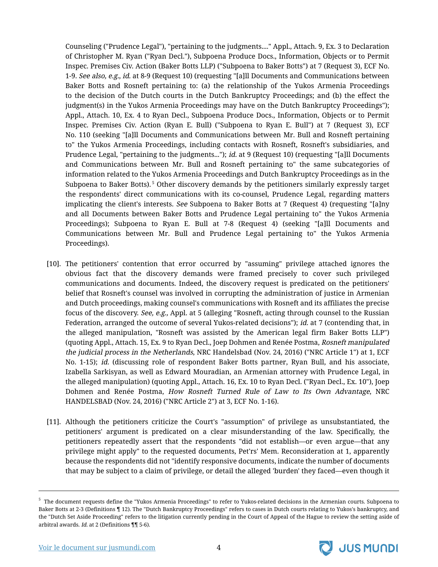Counseling ("Prudence Legal"), "pertaining to the judgments...." Appl., Attach. 9, Ex. 3 to Declaration of Christopher M. Ryan ("Ryan Decl."), Subpoena Produce Docs., Information, Objects or to Permit Inspec. Premises Civ. Action (Baker Botts LLP) ("Subpoena to Baker Botts") at 7 (Request 3), ECF No. 1-9. See also, e.g., id. at 8-9 (Request 10) (requesting "[a]ll Documents and Communications between Baker Botts and Rosneft pertaining to: (a) the relationship of the Yukos Armenia Proceedings to the decision of the Dutch courts in the Dutch Bankruptcy Proceedings; and (b) the effect the judgment(s) in the Yukos Armenia Proceedings may have on the Dutch Bankruptcy Proceedings"); Appl., Attach. 10, Ex. 4 to Ryan Decl., Subpoena Produce Docs., Information, Objects or to Permit Inspec. Premises Civ. Action (Ryan E. Bull) ("Subpoena to Ryan E. Bull") at 7 (Request 3), ECF No. 110 (seeking "[a]ll Documents and Communications between Mr. Bull and Rosneft pertaining to" the Yukos Armenia Proceedings, including contacts with Rosneft, Rosneft's subsidiaries, and Prudence Legal, "pertaining to the judgments..."); *id.* at 9 (Request 10) (requesting "[a]ll Documents and Communications between Mr. Bull and Rosneft pertaining to" the same subcategories of information related to the Yukos Armenia Proceedings and Dutch Bankruptcy Proceedings as in the Subpoena to Baker Botts). <sup>5</sup> Other discovery demands by the petitioners similarly expressly target the respondents' direct communications with its co-counsel, Prudence Legal, regarding matters implicating the client's interests. See Subpoena to Baker Botts at 7 (Request 4) (requesting "[a]ny and all Documents between Baker Botts and Prudence Legal pertaining to" the Yukos Armenia Proceedings); Subpoena to Ryan E. Bull at 7-8 (Request 4) (seeking "[a]ll Documents and Communications between Mr. Bull and Prudence Legal pertaining to" the Yukos Armenia Proceedings).

- [10]. The petitioners' contention that error occurred by "assuming" privilege attached ignores the obvious fact that the discovery demands were framed precisely to cover such privileged communications and documents. Indeed, the discovery request is predicated on the petitioners' belief that Rosneft's counsel was involved in corrupting the administration of justice in Armenian and Dutch proceedings, making counsel's communications with Rosneft and its affiliates the precise focus of the discovery. See, e.g., Appl. at 5 (alleging "Rosneft, acting through counsel to the Russian Federation, arranged the outcome of several Yukos-related decisions"); *id.* at 7 (contending that, in the alleged manipulation, "Rosneft was assisted by the American legal firm Baker Botts LLP") (quoting Appl., Attach. 15, Ex. 9 to Ryan Decl., Joep Dohmen and Renée Postma, Rosneft manipulated the judicial process in the Netherlands, NRC Handelsbad (Nov. 24, 2016) ("NRC Article 1") at 1, ECF No. 1-15); id. (discussing role of respondent Baker Botts partner, Ryan Bull, and his associate, Izabella Sarkisyan, as well as Edward Mouradian, an Armenian attorney with Prudence Legal, in the alleged manipulation) (quoting Appl., Attach. 16, Ex. 10 to Ryan Decl. ("Ryan Decl., Ex. 10"), Joep Dohmen and Renée Postma, How Rosneft Turned Rule of Law to Its Own Advantage, NRC HANDELSBAD (Nov. 24, 2016) ("NRC Article 2") at 3, ECF No. 1-16).
- [11]. Although the petitioners criticize the Court's "assumption" of privilege as unsubstantiated, the petitioners' argument is predicated on a clear misunderstanding of the law. Specifically, the petitioners repeatedly assert that the respondents "did not establish—or even argue—that any privilege might apply" to the requested documents, Pet'rs' Mem. Reconsideration at 1, apparently because the respondents did not "identify responsive documents, indicate the number of documents that may be subject to a claim of privilege, or detail the alleged 'burden' they faced—even though it



 $^{\rm 5}$  The document requests define the "Yukos Armenia Proceedings" to refer to Yukos-related decisions in the Armenian courts. Subpoena to Baker Botts at 2-3 (Definitions ¶ 12). The "Dutch Bankruptcy Proceedings" refers to cases in Dutch courts relating to Yukos's bankruptcy, and the "Dutch Set Aside Proceeding" refers to the litigation currently pending in the Court of Appeal of the Hague to review the setting aside of arbitral awards. Id. at 2 (Definitions ¶¶ 5-6).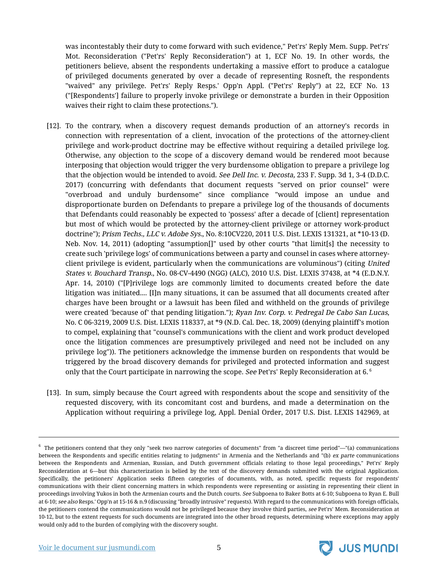was incontestably their duty to come forward with such evidence," Pet'rs' Reply Mem. Supp. Pet'rs' Mot. Reconsideration ("Pet'rs' Reply Reconsideration") at 1, ECF No. 19. In other words, the petitioners believe, absent the respondents undertaking a massive effort to produce a catalogue of privileged documents generated by over a decade of representing Rosneft, the respondents "waived" any privilege. Pet'rs' Reply Resps.' Opp'n Appl. ("Pet'rs' Reply") at 22, ECF No. 13 ("[Respondents'] failure to properly invoke privilege or demonstrate a burden in their Opposition waives their right to claim these protections.").

- [12]. To the contrary, when a discovery request demands production of an attorney's records in connection with representation of a client, invocation of the protections of the attorney-client privilege and work-product doctrine may be effective without requiring a detailed privilege log. Otherwise, any objection to the scope of a discovery demand would be rendered moot because interposing that objection would trigger the very burdensome obligation to prepare a privilege log that the objection would be intended to avoid. See Dell Inc. v. Decosta, 233 F. Supp. 3d 1, 3-4 (D.D.C. 2017) (concurring with defendants that document requests "served on prior counsel" were "overbroad and unduly burdensome" since compliance "would impose an undue and disproportionate burden on Defendants to prepare a privilege log of the thousands of documents that Defendants could reasonably be expected to 'possess' after a decade of [client] representation but most of which would be protected by the attorney-client privilege or attorney work-product doctrine"); Prism Techs., LLC v. Adobe Sys., No. 8:10CV220, 2011 U.S. Dist. LEXIS 131321, at \*10-13 (D. Neb. Nov. 14, 2011) (adopting "assumption[]" used by other courts "that limit[s] the necessity to create such 'privilege logs' of communications between a party and counsel in cases where attorneyclient privilege is evident, particularly when the communications are voluminous") (citing United States v. Bouchard Transp., No. 08-CV-4490 (NGG) (ALC), 2010 U.S. Dist. LEXIS 37438, at \*4 (E.D.N.Y. Apr. 14, 2010) ("[P]rivilege logs are commonly limited to documents created before the date litigation was initiated.... [I]n many situations, it can be assumed that all documents created after charges have been brought or a lawsuit has been filed and withheld on the grounds of privilege were created 'because of' that pending litigation."); Ryan Inv. Corp. v. Pedregal De Cabo San Lucas, No. C 06-3219, 2009 U.S. Dist. LEXIS 118337, at \*9 (N.D. Cal. Dec. 18, 2009) (denying plaintiff's motion to compel, explaining that "counsel's communications with the client and work product developed once the litigation commences are presumptively privileged and need not be included on any privilege log")). The petitioners acknowledge the immense burden on respondents that would be triggered by the broad discovery demands for privileged and protected information and suggest only that the Court participate in narrowing the scope. See Pet'rs' Reply Reconsideration at 6. $<sup>6</sup>$ </sup>
- [13]. In sum, simply because the Court agreed with respondents about the scope and sensitivity of the requested discovery, with its concomitant cost and burdens, and made a determination on the Application without requiring a privilege log, Appl. Denial Order, 2017 U.S. Dist. LEXIS 142969, at



 $^6\,$  The petitioners contend that they only "seek two narrow categories of documents" from "a discreet time period"—"(a) communications between the Respondents and specific entities relating to judgments" in Armenia and the Netherlands and "(b) ex parte communications between the Respondents and Armenian, Russian, and Dutch government officials relating to those legal proceedings," Pet'rs' Reply Reconsideration at 6—but this characterization is belied by the text of the discovery demands submitted with the original Application. Specifically, the petitioners' Application seeks fifteen categories of documents, with, as noted, specific requests for respondents' communications with their client concerning matters in which respondents were representing or assisting in representing their client in proceedings involving Yukos in both the Armenian courts and the Dutch courts. See Subpoena to Baker Botts at 6-10; Subpoena to Ryan E. Bull at 6-10; see also Resps.' Opp'n at 15-16 & n.9 (discussing "broadly intrusive" requests). With regard to the communications with foreign officials, the petitioners contend the communications would not be privileged because they involve third parties, see Pet'rs' Mem. Reconsideration at 10-12, but to the extent requests for such documents are integrated into the other broad requests, determining where exceptions may apply would only add to the burden of complying with the discovery sought.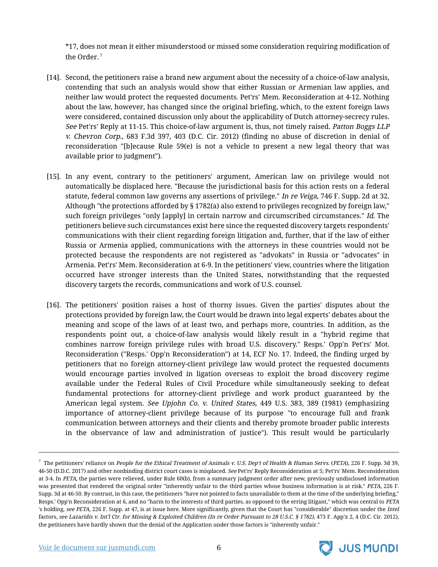\*17, does not mean it either misunderstood or missed some consideration requiring modification of the Order. <sup>7</sup>

- [14]. Second, the petitioners raise a brand new argument about the necessity of a choice-of-law analysis, contending that such an analysis would show that either Russian or Armenian law applies, and neither law would protect the requested documents. Pet'rs' Mem. Reconsideration at 4-12. Nothing about the law, however, has changed since the original briefing, which, to the extent foreign laws were considered, contained discussion only about the applicability of Dutch attorney-secrecy rules. See Pet'rs' Reply at 11-15. This choice-of-law argument is, thus, not timely raised. Patton Boggs LLP v. Chevron Corp., 683 F.3d 397, 403 (D.C. Cir. 2012) (finding no abuse of discretion in denial of reconsideration "[b]ecause Rule 59(e) is not a vehicle to present a new legal theory that was available prior to judgment").
- [15]. In any event, contrary to the petitioners' argument, American law on privilege would not automatically be displaced here. "Because the jurisdictional basis for this action rests on a federal statute, federal common law governs any assertions of privilege." In re Veiga, 746 F. Supp. 2d at 32. Although "the protections afforded by § 1782(a) also extend to privileges recognized by foreign law," such foreign privileges "only [apply] in certain narrow and circumscribed circumstances." *Id.* The petitioners believe such circumstances exist here since the requested discovery targets respondents' communications with their client regarding foreign litigation and, further, that if the law of either Russia or Armenia applied, communications with the attorneys in these countries would not be protected because the respondents are not registered as "advokats" in Russia or "advocates" in Armenia. Pet'rs' Mem. Reconsideration at 6-9. In the petitioners' view, countries where the litigation occurred have stronger interests than the United States, notwithstanding that the requested discovery targets the records, communications and work of U.S. counsel.
- [16]. The petitioners' position raises a host of thorny issues. Given the parties' disputes about the protections provided by foreign law, the Court would be drawn into legal experts' debates about the meaning and scope of the laws of at least two, and perhaps more, countries. In addition, as the respondents point out, a choice-of-law analysis would likely result in a "hybrid regime that combines narrow foreign privilege rules with broad U.S. discovery." Resps.' Opp'n Pet'rs' Mot. Reconsideration ("Resps.' Opp'n Reconsideration") at 14, ECF No. 17. Indeed, the finding urged by petitioners that no foreign attorney-client privilege law would protect the requested documents would encourage parties involved in ligation overseas to exploit the broad discovery regime available under the Federal Rules of Civil Procedure while simultaneously seeking to defeat fundamental protections for attorney-client privilege and work product guaranteed by the American legal system. See Upjohn Co. v. United States, 449 U.S. 383, 389 (1981) (emphasizing importance of attorney-client privilege because of its purpose "to encourage full and frank communication between attorneys and their clients and thereby promote broader public interests in the observance of law and administration of justice"). This result would be particularly

 $^7$  The petitioners' reliance on People for the Ethical Treatment of Animals v. U.S. Dep't of Health & Human Servs. (PETA), 226 F. Supp. 3d 39, 46-50 (D.D.C. 2017) and other nonbinding district court cases is misplaced. See Pet'rs' Reply Reconsideration at 5; Pet'rs' Mem. Reconsideration at 3-4. In PETA, the parties were relieved, under Rule 60(b), from a summary judgment order after new, previously undisclosed information was presented that rendered the original order "inherently unfair to the third parties whose business information is at risk." PETA, 226 F. Supp. 3d at 46-50. By contrast, in this case, the petitioners "have not pointed to facts unavailable to them at the time of the underlying briefing," Resps.' Opp'n Reconsideration at 6, and no "harm to the interests of third parties, as opposed to the erring litigant," which was central to PETA 's holding, see PETA, 226 F. Supp. at 47, is at issue here. More significantly, given that the Court has "considerable" discretion under the Intel factors, see Lazaridis v. Int'l Ctr. for Missing & Exploited Children (In re Order Pursuant to 28 U.S.C. § 1782), 473 F. App'x 2, 4 (D.C. Cir. 2012), the petitioners have hardly shown that the denial of the Application under those factors is "inherently unfair."



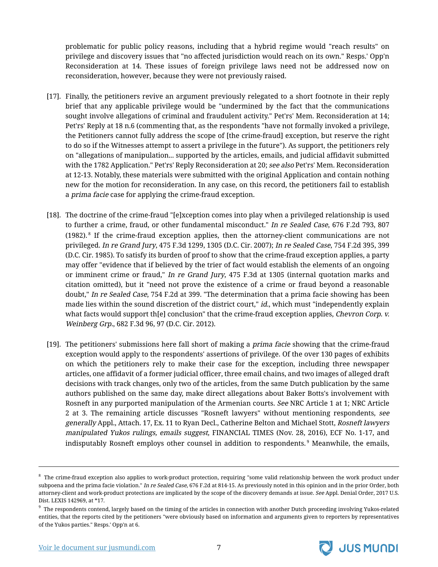problematic for public policy reasons, including that a hybrid regime would "reach results" on privilege and discovery issues that "no affected jurisdiction would reach on its own." Resps.' Opp'n Reconsideration at 14. These issues of foreign privilege laws need not be addressed now on reconsideration, however, because they were not previously raised.

- [17]. Finally, the petitioners revive an argument previously relegated to a short footnote in their reply brief that any applicable privilege would be "undermined by the fact that the communications sought involve allegations of criminal and fraudulent activity." Pet'rs' Mem. Reconsideration at 14; Pet'rs' Reply at 18 n.6 (commenting that, as the respondents "have not formally invoked a privilege, the Petitioners cannot fully address the scope of [the crime-fraud] exception, but reserve the right to do so if the Witnesses attempt to assert a privilege in the future"). As support, the petitioners rely on "allegations of manipulation... supported by the articles, emails, and judicial affidavit submitted with the 1782 Application." Pet'rs' Reply Reconsideration at 20; see also Pet'rs' Mem. Reconsideration at 12-13. Notably, these materials were submitted with the original Application and contain nothing new for the motion for reconsideration. In any case, on this record, the petitioners fail to establish a prima facie case for applying the crime-fraud exception.
- [18]. The doctrine of the crime-fraud "[e]xception comes into play when a privileged relationship is used to further a crime, fraud, or other fundamental misconduct." In re Sealed Case, 676 F.2d 793, 807 (1982). $8$  If the crime-fraud exception applies, then the attorney-client communications are not privileged. In re Grand Jury, 475 F.3d 1299, 1305 (D.C. Cir. 2007); In re Sealed Case, 754 F.2d 395, 399 (D.C. Cir. 1985). To satisfy its burden of proof to show that the crime-fraud exception applies, a party may offer "evidence that if believed by the trier of fact would establish the elements of an ongoing or imminent crime or fraud," In re Grand Jury, 475 F.3d at 1305 (internal quotation marks and citation omitted), but it "need not prove the existence of a crime or fraud beyond a reasonable doubt," In re Sealed Case, 754 F.2d at 399. "The determination that a prima facie showing has been made lies within the sound discretion of the district court," *id.*, which must "independently explain what facts would support th[e] conclusion" that the crime-fraud exception applies, Chevron Corp.  $v$ . Weinberg Grp., 682 F.3d 96, 97 (D.C. Cir. 2012).
- [19]. The petitioners' submissions here fall short of making a *prima facie* showing that the crime-fraud exception would apply to the respondents' assertions of privilege. Of the over 130 pages of exhibits on which the petitioners rely to make their case for the exception, including three newspaper articles, one affidavit of a former judicial officer, three email chains, and two images of alleged draft decisions with track changes, only two of the articles, from the same Dutch publication by the same authors published on the same day, make direct allegations about Baker Botts's involvement with Rosneft in any purported manipulation of the Armenian courts. See NRC Article 1 at 1; NRC Article 2 at 3. The remaining article discusses "Rosneft lawyers" without mentioning respondents, see generally Appl., Attach. 17, Ex. 11 to Ryan Decl., Catherine Belton and Michael Stott, Rosneft lawyers manipulated Yukos rulings, emails suggest, FINANCIAL TIMES (Nov. 28, 2016), ECF No. 1-17, and indisputably Rosneft employs other counsel in addition to respondents.<sup>9</sup> Meanwhile, the emails,



 $^8$  The crime-fraud exception also applies to work-product protection, requiring "some valid relationship between the work product under subpoena and the prima facie violation." In re Sealed Case, 676 F.2d at 814-15. As previously noted in this opinion and in the prior Order, both attorney-client and work-product protections are implicated by the scope of the discovery demands at issue. See Appl. Denial Order, 2017 U.S. Dist. LEXIS 142969, at \*17.

 $^9$  The respondents contend, largely based on the timing of the articles in connection with another Dutch proceeding involving Yukos-related entities, that the reports cited by the petitioners "were obviously based on information and arguments given to reporters by representatives of the Yukos parties." Resps.' Opp'n at 6.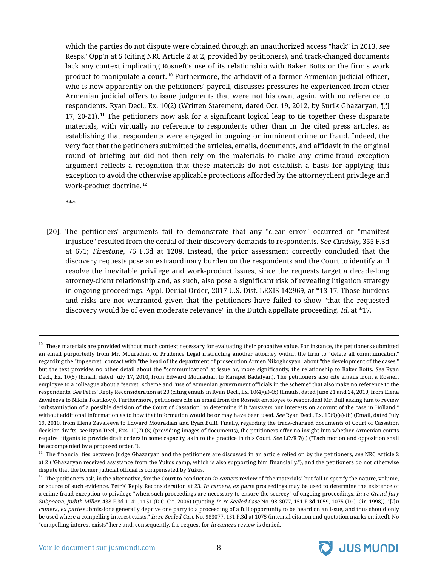which the parties do not dispute were obtained through an unauthorized access "hack" in 2013, see Resps.' Opp'n at 5 (citing NRC Article 2 at 2, provided by petitioners), and track-changed documents lack any context implicating Rosneft's use of its relationship with Baker Botts or the firm's work product to manipulate a court. <sup>10</sup> Furthermore, the affidavit of a former Armenian judicial officer, who is now apparently on the petitioners' payroll, discusses pressures he experienced from other Armenian judicial offers to issue judgments that were not his own, again, with no reference to respondents. Ryan Decl., Ex. 10(2) (Written Statement, dated Oct. 19, 2012, by Surik Ghazaryan, ¶¶ 17, 20-21).<sup>11</sup> The petitioners now ask for a significant logical leap to tie together these disparate materials, with virtually no reference to respondents other than in the cited press articles, as establishing that respondents were engaged in ongoing or imminent crime or fraud. Indeed, the very fact that the petitioners submitted the articles, emails, documents, and affidavit in the original round of briefing but did not then rely on the materials to make any crime-fraud exception argument reflects a recognition that these materials do not establish a basis for applying this exception to avoid the otherwise applicable protections afforded by the attorneyclient privilege and work-product doctrine. <sup>12</sup>

\*\*\*

[20]. The petitioners' arguments fail to demonstrate that any "clear error" occurred or "manifest injustice" resulted from the denial of their discovery demands to respondents. See Ciralsky, 355 F.3d at 671; Firestone, 76 F.3d at 1208. Instead, the prior assessment correctly concluded that the discovery requests pose an extraordinary burden on the respondents and the Court to identify and resolve the inevitable privilege and work-product issues, since the requests target a decade-long attorney-client relationship and, as such, also pose a significant risk of revealing litigation strategy in ongoing proceedings. Appl. Denial Order, 2017 U.S. Dist. LEXIS 142969, at \*13-17. Those burdens and risks are not warranted given that the petitioners have failed to show "that the requested discovery would be of even moderate relevance" in the Dutch appellate proceeding. Id. at \*17.



 $10$  These materials are provided without much context necessary for evaluating their probative value. For instance, the petitioners submitted an email purportedly from Mr. Mouradian of Prudence Legal instructing another attorney within the firm to "delete all communication" regarding the "top secret" contact with "the head of the department of prosecution Armen Nikoghosyan" about "the development of the cases," but the text provides no other detail about the "communication" at issue or, more significantly, the relationship to Baker Botts. See Ryan Decl., Ex. 10(5) (Email, dated July 17, 2010, from Edward Mouradian to Karapet Badalyan). The petitioners also cite emails from a Rosneft employee to a colleague about a "secret" scheme and "use of Armenian government officials in the scheme" that also make no reference to the respondents. See Pet'rs' Reply Reconsideration at 20 (citing emails in Ryan Decl., Ex. 10(4)(a)-(b) (Emails, dated June 21 and 24, 2010, from Elena Zavaleeva to Nikita Tolstikov)). Furthermore, petitioners cite an email from the Rosneft employee to respondent Mr. Bull asking him to review "substantiation of a possible decision of the Court of Cassation" to determine if it "answers our interests on account of the case in Holland," without additional information as to how that information would be or may have been used. See Ryan Decl., Ex. 10(9)(a)-(b) (Email, dated July 19, 2010, from Elena Zavaleeva to Edward Mouradian and Ryan Bull). Finally, regarding the track-changed documents of Court of Cassation decision drafts, see Ryan Decl., Exs. 10(7)-(8) (providing images of documents), the petitioners offer no insight into whether Armenian courts require litigants to provide draft orders in some capacity, akin to the practice in this Court. See LCvR 7(c) ("Each motion and opposition shall be accompanied by a proposed order.").

 $11$  The financial ties between Judge Ghazaryan and the petitioners are discussed in an article relied on by the petitioners, see NRC Article 2 at 2 ("Ghazaryan received assistance from the Yukos camp, which is also supporting him financially."), and the petitioners do not otherwise dispute that the former judicial official is compensated by Yukos.

 $12$  The petitioners ask, in the alternative, for the Court to conduct an in camera review of "the materials" but fail to specify the nature, volume, or source of such evidence. Petr's' Reply Reconsideration at 23. In camera, ex parte proceedings may be used to determine the existence of a crime-fraud exception to privilege "when such proceedings are necessary to ensure the secrecy" of ongoing proceedings. In re Grand Jury Subpoena, Judith Miller, 438 F.3d 1141, 1151 (D.C. Cir. 2006) (quoting In re Sealed Case No. 98-3077, 151 F.3d 1059, 1075 (D.C. Cir. 1998)). "[I]<sup>n</sup> camera, ex parte submissions generally deprive one party to a proceeding of a full opportunity to be heard on an issue, and thus should only be used where a compelling interest exists." In re Sealed Case No. 983077, 151 F.3d at 1075 (internal citation and quotation marks omitted). No "compelling interest exists" here and, consequently, the request for in camera review is denied.